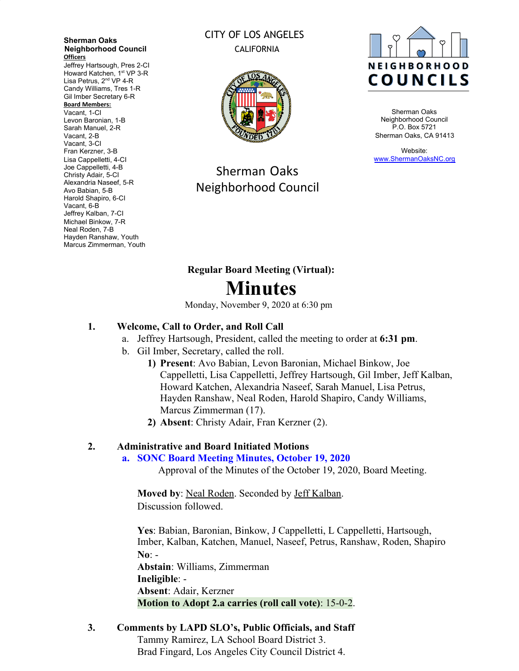**Sherman Oaks Neighborhood Council Officers**

Jeffrey Hartsough, Pres 2-CI Howard Katchen, 1<sup>st</sup> VP 3-R Lisa Petrus, 2<sup>nd</sup> VP 4-R Candy Williams, Tres 1-R Gil Imber Secretary 6-R **Board Members:** Vacant, 1-CI Levon Baronian, 1-B Sarah Manuel, 2-R

Vacant, 2-B Vacant, 3-CI Fran Kerzner, 3-B Lisa Cappelletti, 4-CI Joe Cappelletti, 4-B Christy Adair, 5-CI Alexandria Naseef, 5-R Avo Babian, 5-B Harold Shapiro, 6-CI Vacant, 6-B Jeffrey Kalban, 7-CI Michael Binkow, 7-R Neal Roden, 7-B Hayden Ranshaw, Youth Marcus Zimmerman, Youth

### CITY OF LOS ANGELES CALIFORNIA



Sherman Oaks Neighborhood Council



Sherman Oaks Neighborhood Council P.O. Box 5721 Sherman Oaks, CA 91413

Website: [www.ShermanOaksNC.org](http://www.shermanoaksnc.org/)

# **Regular Board Meeting (Virtual): Minutes**

Monday, November 9, 2020 at 6:30 pm

## **1. Welcome, Call to Order, and Roll Call**

- a. Jeffrey Hartsough, President, called the meeting to order at **6:31 pm**.
- b. Gil Imber, Secretary, called the roll.
	- **1) Present**: Avo Babian, Levon Baronian, Michael Binkow, Joe Cappelletti, Lisa Cappelletti, Jeffrey Hartsough, Gil Imber, Jeff Kalban, Howard Katchen, Alexandria Naseef, Sarah Manuel, Lisa Petrus, Hayden Ranshaw, Neal Roden, Harold Shapiro, Candy Williams, Marcus Zimmerman (17).
	- **2) Absent**: Christy Adair, Fran Kerzner (2).

## **2. Administrative and Board Initiated Motions**

#### **a. SONC Board Meeting Minutes, October 19, 2020**

Approval of the Minutes of the October 19, 2020, Board Meeting.

**Moved by**: Neal Roden. Seconded by Jeff Kalban. Discussion followed.

**Yes**: Babian, Baronian, Binkow, J Cappelletti, L Cappelletti, Hartsough, Imber, Kalban, Katchen, Manuel, Naseef, Petrus, Ranshaw, Roden, Shapiro **No**: - **Abstain**: Williams, Zimmerman **Ineligible**: -

**Absent**: Adair, Kerzner

## **Motion to Adopt 2.a carries (roll call vote)**: 15-0-2.

## **3. Comments by LAPD SLO's, Public Officials, and Staff**

Tammy Ramirez, LA School Board District 3. Brad Fingard, Los Angeles City Council District 4.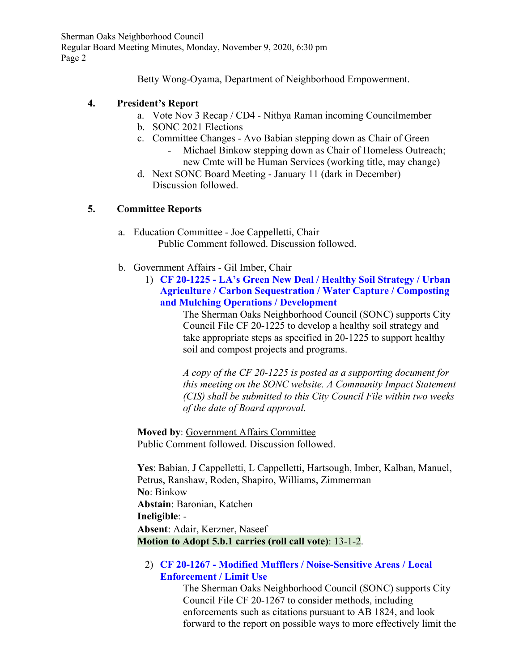Betty Wong-Oyama, Department of Neighborhood Empowerment.

#### **4. President's Report**

- a. Vote Nov 3 Recap / CD4 Nithya Raman incoming Councilmember
- b. SONC 2021 Elections
- c. Committee Changes Avo Babian stepping down as Chair of Green
	- Michael Binkow stepping down as Chair of Homeless Outreach; new Cmte will be Human Services (working title, may change)
- d. Next SONC Board Meeting January 11 (dark in December) Discussion followed.

#### **5. Committee Reports**

- a. Education Committee Joe Cappelletti, Chair Public Comment followed. Discussion followed.
- b. Government Affairs Gil Imber, Chair
	- 1) **CF 20-1225 LA's Green New Deal / Healthy Soil Strategy / Urban Agriculture / Carbon Sequestration / Water Capture / Composting and Mulching Operations / Development**

The Sherman Oaks Neighborhood Council (SONC) supports City Council File CF 20-1225 to develop a healthy soil strategy and take appropriate steps as specified in 20-1225 to support healthy soil and compost projects and programs.

*A copy of the CF 20-1225 is posted as a supporting document for this meeting on the SONC website. A Community Impact Statement (CIS) shall be submitted to this City Council File within two weeks of the date of Board approval.*

**Moved by**: Government Affairs Committee Public Comment followed. Discussion followed.

**Yes**: Babian, J Cappelletti, L Cappelletti, Hartsough, Imber, Kalban, Manuel, Petrus, Ranshaw, Roden, Shapiro, Williams, Zimmerman **No**: Binkow **Abstain**: Baronian, Katchen **Ineligible**: - **Absent**: Adair, Kerzner, Naseef **Motion to Adopt 5.b.1 carries (roll call vote)**: 13-1-2.

2) **CF 20-1267 - Modified Mufflers / Noise-Sensitive Areas / Local Enforcement / Limit Use**

> The Sherman Oaks Neighborhood Council (SONC) supports City Council File CF 20-1267 to consider methods, including enforcements such as citations pursuant to AB 1824, and look forward to the report on possible ways to more effectively limit the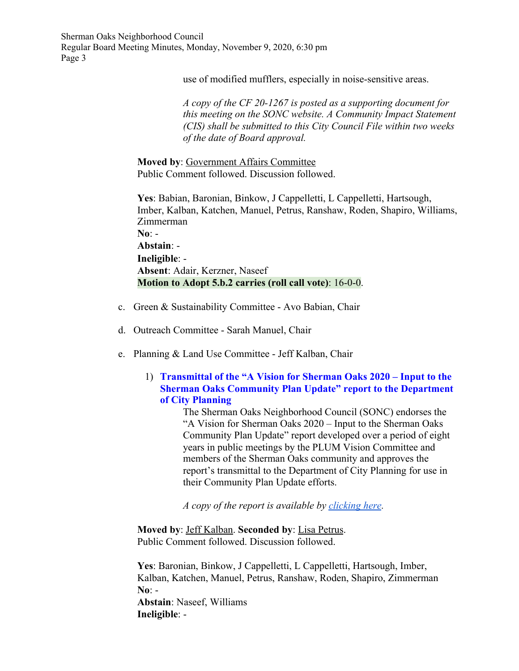use of modified mufflers, especially in noise-sensitive areas.

*A copy of the CF 20-1267 is posted as a supporting document for this meeting on the SONC website. A Community Impact Statement (CIS) shall be submitted to this City Council File within two weeks of the date of Board approval.*

**Moved by**: Government Affairs Committee Public Comment followed. Discussion followed.

**Yes**: Babian, Baronian, Binkow, J Cappelletti, L Cappelletti, Hartsough, Imber, Kalban, Katchen, Manuel, Petrus, Ranshaw, Roden, Shapiro, Williams, Zimmerman **No**: -

**Abstain**: - **Ineligible**: - **Absent**: Adair, Kerzner, Naseef **Motion to Adopt 5.b.2 carries (roll call vote)**: 16-0-0.

- c. Green & Sustainability Committee Avo Babian, Chair
- d. Outreach Committee Sarah Manuel, Chair
- e. Planning & Land Use Committee Jeff Kalban, Chair

#### 1) **Transmittal of the "A Vision for Sherman Oaks 2020 – Input to the Sherman Oaks Community Plan Update" report to the Department of City Planning**

The Sherman Oaks Neighborhood Council (SONC) endorses the "A Vision for Sherman Oaks 2020 – Input to the Sherman Oaks Community Plan Update" report developed over a period of eight years in public meetings by the PLUM Vision Committee and members of the Sherman Oaks community and approves the report's transmittal to the Department of City Planning for use in their Community Plan Update efforts.

*A copy of the report is available by [clicking here](https://www.dropbox.com/sh/o56fsm8ngoqu0bq/AAApVLBHDy0sJwqlgY3un3QDa?dl=0).*

**Moved by**: Jeff Kalban. **Seconded by**: Lisa Petrus. Public Comment followed. Discussion followed.

**Yes**: Baronian, Binkow, J Cappelletti, L Cappelletti, Hartsough, Imber, Kalban, Katchen, Manuel, Petrus, Ranshaw, Roden, Shapiro, Zimmerman **No**: - **Abstain**: Naseef, Williams

**Ineligible**: -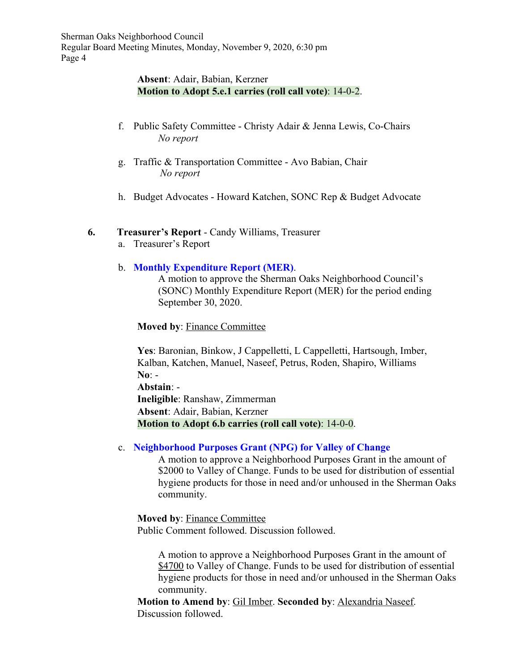#### **Absent**: Adair, Babian, Kerzner **Motion to Adopt 5.e.1 carries (roll call vote)**: 14-0-2.

- f. Public Safety Committee Christy Adair & Jenna Lewis, Co-Chairs *No report*
- g. Traffic & Transportation Committee Avo Babian, Chair *No report*
- h. Budget Advocates Howard Katchen, SONC Rep & Budget Advocate

#### **6. Treasurer's Report** - Candy Williams, Treasurer

a. Treasurer's Report

#### b. **Monthly Expenditure Report (MER)**.

A motion to approve the Sherman Oaks Neighborhood Council's (SONC) Monthly Expenditure Report (MER) for the period ending September 30, 2020.

**Moved by**: Finance Committee

**Yes**: Baronian, Binkow, J Cappelletti, L Cappelletti, Hartsough, Imber, Kalban, Katchen, Manuel, Naseef, Petrus, Roden, Shapiro, Williams **No**: - **Abstain**: -

**Ineligible**: Ranshaw, Zimmerman **Absent**: Adair, Babian, Kerzner **Motion to Adopt 6.b carries (roll call vote)**: 14-0-0.

#### c. **Neighborhood Purposes Grant (NPG) for Valley of Change**

A motion to approve a Neighborhood Purposes Grant in the amount of \$2000 to Valley of Change. Funds to be used for distribution of essential hygiene products for those in need and/or unhoused in the Sherman Oaks community.

**Moved by**: Finance Committee Public Comment followed. Discussion followed.

> A motion to approve a Neighborhood Purposes Grant in the amount of \$4700 to Valley of Change. Funds to be used for distribution of essential hygiene products for those in need and/or unhoused in the Sherman Oaks community.

**Motion to Amend by**: Gil Imber. **Seconded by**: Alexandria Naseef. Discussion followed.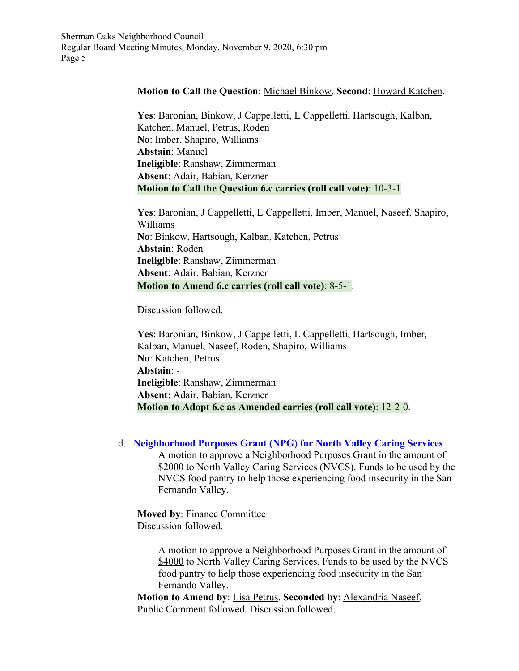#### **Motion to Call the Question**: Michael Binkow. **Second**: Howard Katchen.

**Yes**: Baronian, Binkow, J Cappelletti, L Cappelletti, Hartsough, Kalban, Katchen, Manuel, Petrus, Roden **No**: Imber, Shapiro, Williams **Abstain**: Manuel **Ineligible**: Ranshaw, Zimmerman **Absent**: Adair, Babian, Kerzner **Motion to Call the Question 6.c carries (roll call vote)**: 10-3-1.

**Yes**: Baronian, J Cappelletti, L Cappelletti, Imber, Manuel, Naseef, Shapiro, Williams **No**: Binkow, Hartsough, Kalban, Katchen, Petrus **Abstain**: Roden **Ineligible**: Ranshaw, Zimmerman **Absent**: Adair, Babian, Kerzner **Motion to Amend 6.c carries (roll call vote)**: 8-5-1.

Discussion followed.

**Yes**: Baronian, Binkow, J Cappelletti, L Cappelletti, Hartsough, Imber, Kalban, Manuel, Naseef, Roden, Shapiro, Williams **No**: Katchen, Petrus **Abstain**: - **Ineligible**: Ranshaw, Zimmerman **Absent**: Adair, Babian, Kerzner **Motion to Adopt 6.c as Amended carries (roll call vote)**: 12-2-0.

d. **Neighborhood Purposes Grant (NPG) for North Valley Caring Services**

A motion to approve a Neighborhood Purposes Grant in the amount of \$2000 to North Valley Caring Services (NVCS). Funds to be used by the NVCS food pantry to help those experiencing food insecurity in the San Fernando Valley.

**Moved by**: Finance Committee Discussion followed.

> A motion to approve a Neighborhood Purposes Grant in the amount of \$4000 to North Valley Caring Services. Funds to be used by the NVCS food pantry to help those experiencing food insecurity in the San Fernando Valley.

**Motion to Amend by**: Lisa Petrus. **Seconded by**: Alexandria Naseef. Public Comment followed. Discussion followed.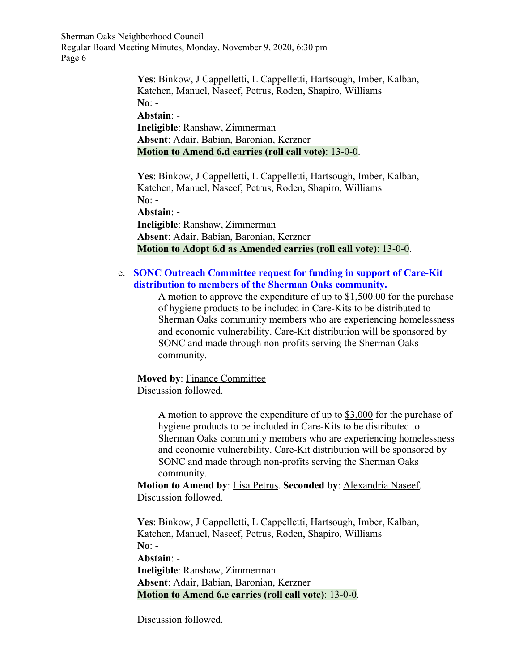> **Yes**: Binkow, J Cappelletti, L Cappelletti, Hartsough, Imber, Kalban, Katchen, Manuel, Naseef, Petrus, Roden, Shapiro, Williams **No**: - **Abstain**: - **Ineligible**: Ranshaw, Zimmerman **Absent**: Adair, Babian, Baronian, Kerzner **Motion to Amend 6.d carries (roll call vote)**: 13-0-0.

> **Yes**: Binkow, J Cappelletti, L Cappelletti, Hartsough, Imber, Kalban, Katchen, Manuel, Naseef, Petrus, Roden, Shapiro, Williams **No**: - **Abstain**: -

**Ineligible**: Ranshaw, Zimmerman **Absent**: Adair, Babian, Baronian, Kerzner **Motion to Adopt 6.d as Amended carries (roll call vote)**: 13-0-0.

#### e. **SONC Outreach Committee request for funding in support of Care-Kit distribution to members of the Sherman Oaks community.**

A motion to approve the expenditure of up to \$1,500.00 for the purchase of hygiene products to be included in Care-Kits to be distributed to Sherman Oaks community members who are experiencing homelessness and economic vulnerability. Care-Kit distribution will be sponsored by SONC and made through non-profits serving the Sherman Oaks community.

**Moved by**: Finance Committee Discussion followed.

> A motion to approve the expenditure of up to \$3,000 for the purchase of hygiene products to be included in Care-Kits to be distributed to Sherman Oaks community members who are experiencing homelessness and economic vulnerability. Care-Kit distribution will be sponsored by SONC and made through non-profits serving the Sherman Oaks community.

**Motion to Amend by**: Lisa Petrus. **Seconded by**: Alexandria Naseef. Discussion followed.

**Yes**: Binkow, J Cappelletti, L Cappelletti, Hartsough, Imber, Kalban, Katchen, Manuel, Naseef, Petrus, Roden, Shapiro, Williams **No**: -

**Abstain**: -

**Ineligible**: Ranshaw, Zimmerman **Absent**: Adair, Babian, Baronian, Kerzner **Motion to Amend 6.e carries (roll call vote)**: 13-0-0.

Discussion followed.